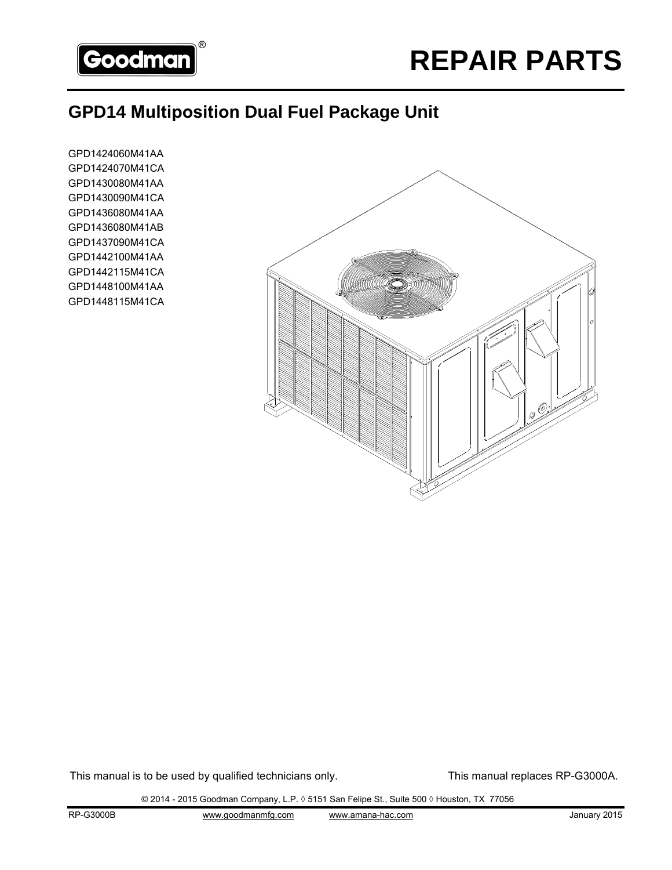

## **GPD14 Multiposition Dual Fuel Package Unit**

GPD1424060M41AA GPD1424070M41CA GPD1430080M41AA GPD1430090M41CA GPD1436080M41AA GPD1436080M41AB GPD1437090M41CA GPD1442100M41AA GPD1442115M41CA GPD1448100M41AA GPD1448115M41CA



This manual is to be used by qualified technicians only. This manual replaces RP-G3000A.

© 2014 - 2015 Goodman Company, L.P. ◊ 5151 San Felipe St., Suite 500 ◊ Houston, TX 77056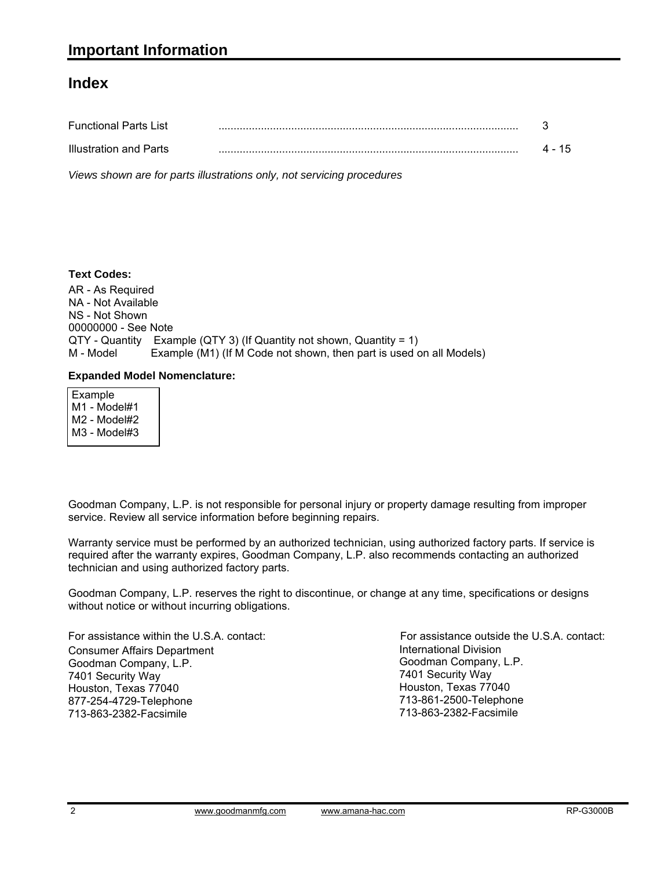#### **Index**

| <b>Functional Parts List</b> |        |
|------------------------------|--------|
| Illustration and Parts       | 4 - 15 |

*Views shown are for parts illustrations only, not servicing procedures*

#### **Text Codes:**

AR - As Required NA - Not Available NS - Not Shown 00000000 - See Note QTY - Quantity Example (QTY 3) (If Quantity not shown, Quantity = 1) M - Model Example (M1) (If M Code not shown, then part is used on all Models)

#### **Expanded Model Nomenclature:**

 Example M1 - Model#1 M2 - Model#2 M3 - Model#3

Goodman Company, L.P. is not responsible for personal injury or property damage resulting from improper service. Review all service information before beginning repairs.

Warranty service must be performed by an authorized technician, using authorized factory parts. If service is required after the warranty expires, Goodman Company, L.P. also recommends contacting an authorized technician and using authorized factory parts.

Goodman Company, L.P. reserves the right to discontinue, or change at any time, specifications or designs without notice or without incurring obligations.

For assistance within the U.S.A. contact: Consumer Affairs Department Goodman Company, L.P. 7401 Security Way Houston, Texas 77040 877-254-4729-Telephone 713-863-2382-Facsimile

International Division Goodman Company, L.P. 7401 Security Way Houston, Texas 77040 713-861-2500-Telephone 713-863-2382-Facsimile For assistance outside the U.S.A. contact: International Divisionwww.goodmanmfg.com www.amana-hac.com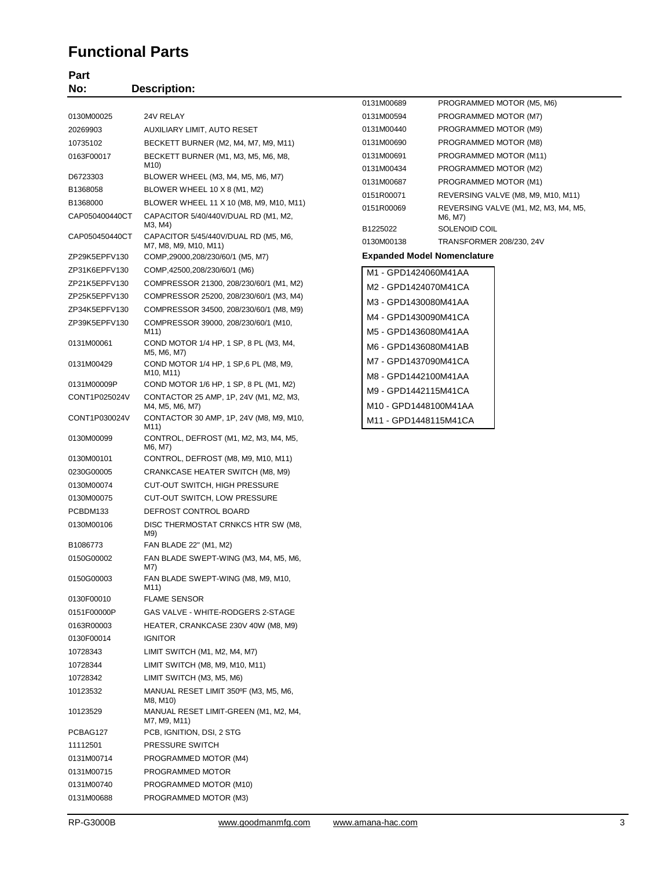#### **Functional Parts**

# Part<br>No:

| No:            | <b>Description:</b>                                                           |                                              |                                      |
|----------------|-------------------------------------------------------------------------------|----------------------------------------------|--------------------------------------|
|                |                                                                               | 0131M00689                                   | PROGRAMMED MOTOR (M5, M6)            |
| 0130M00025     | 24V RELAY                                                                     | 0131M00594                                   | PROGRAMMED MOTOR (M7)                |
| 20269903       | AUXILIARY LIMIT, AUTO RESET                                                   | 0131M00440                                   | PROGRAMMED MOTOR (M9)                |
| 10735102       | BECKETT BURNER (M2, M4, M7, M9, M11)                                          | 0131M00690                                   | PROGRAMMED MOTOR (M8)                |
| 0163F00017     | BECKETT BURNER (M1, M3, M5, M6, M8,                                           | 0131M00691                                   | PROGRAMMED MOTOR (M11)               |
|                | M10)                                                                          | 0131M00434                                   | PROGRAMMED MOTOR (M2)                |
| D6723303       | BLOWER WHEEL (M3, M4, M5, M6, M7)                                             | 0131M00687                                   | PROGRAMMED MOTOR (M1)                |
| B1368058       | BLOWER WHEEL 10 X 8 (M1, M2)                                                  | 0151R00071                                   | REVERSING VALVE (M8, M9, M10, M11)   |
| B1368000       | BLOWER WHEEL 11 X 10 (M8, M9, M10, M11)                                       | 0151R00069                                   | REVERSING VALVE (M1, M2, M3, M4, M5, |
| CAP050400440CT | CAPACITOR 5/40/440V/DUAL RD (M1, M2,<br>M3, M4)                               | B1225022                                     | M6, M7)<br>SOLENOID COIL             |
| CAP050450440CT | CAPACITOR 5/45/440V/DUAL RD (M5, M6,<br>M7, M8, M9, M10, M11)                 | 0130M00138                                   | TRANSFORMER 208/230, 24V             |
| ZP29K5EPFV130  | COMP,29000,208/230/60/1 (M5, M7)                                              |                                              | <b>Expanded Model Nomenclature</b>   |
| ZP31K6EPFV130  | COMP, 42500, 208/230/60/1 (M6)                                                | M1 - GPD1424060M41AA                         |                                      |
| ZP21K5EPFV130  | COMPRESSOR 21300, 208/230/60/1 (M1, M2)                                       | M2 - GPD1424070M41CA                         |                                      |
| ZP25K5EPFV130  | COMPRESSOR 25200, 208/230/60/1 (M3, M4)                                       | M3 - GPD1430080M41AA                         |                                      |
| ZP34K5EPFV130  | COMPRESSOR 34500, 208/230/60/1 (M8, M9)                                       | M4 - GPD1430090M41CA                         |                                      |
| ZP39K5EPFV130  | COMPRESSOR 39000, 208/230/60/1 (M10,                                          |                                              |                                      |
|                | M11)<br>COND MOTOR 1/4 HP, 1 SP, 8 PL (M3, M4,                                | M5 - GPD1436080M41AA                         |                                      |
| 0131M00061     | M5, M6, M7)                                                                   | M6 - GPD1436080M41AB                         |                                      |
| 0131M00429     | COND MOTOR 1/4 HP, 1 SP, 6 PL (M8, M9,<br>M <sub>10</sub> , M <sub>11</sub> ) | M7 - GPD1437090M41CA<br>M8 - GPD1442100M41AA |                                      |
| 0131M00009P    | COND MOTOR 1/6 HP, 1 SP, 8 PL (M1, M2)                                        | M9 - GPD1442115M41CA                         |                                      |
| CONT1P025024V  | CONTACTOR 25 AMP, 1P, 24V (M1, M2, M3,<br>M4, M5, M6, M7)                     | M10 - GPD1448100M41AA                        |                                      |
| CONT1P030024V  | CONTACTOR 30 AMP, 1P, 24V (M8, M9, M10,<br>M11)                               | M11 - GPD1448115M41CA                        |                                      |
| 0130M00099     | CONTROL, DEFROST (M1, M2, M3, M4, M5,<br>M6, M7)                              |                                              |                                      |
| 0130M00101     | CONTROL, DEFROST (M8, M9, M10, M11)                                           |                                              |                                      |
| 0230G00005     | CRANKCASE HEATER SWITCH (M8, M9)                                              |                                              |                                      |
| 0130M00074     | <b>CUT-OUT SWITCH, HIGH PRESSURE</b>                                          |                                              |                                      |
| 0130M00075     | CUT-OUT SWITCH, LOW PRESSURE                                                  |                                              |                                      |
| PCBDM133       | DEFROST CONTROL BOARD                                                         |                                              |                                      |
| 0130M00106     | DISC THERMOSTAT CRNKCS HTR SW (M8,<br>M9)                                     |                                              |                                      |
| B1086773       | FAN BLADE 22" (M1, M2)                                                        |                                              |                                      |
| 0150G00002     | FAN BLADE SWEPT-WING (M3, M4, M5, M6,<br>M7)                                  |                                              |                                      |
| 0150G00003     | FAN BLADE SWEPT-WING (M8, M9, M10,<br>M11)                                    |                                              |                                      |
| 0130F00010     | <b>FLAME SENSOR</b>                                                           |                                              |                                      |
| 0151F00000P    | GAS VALVE - WHITE-RODGERS 2-STAGE                                             |                                              |                                      |
| 0163R00003     | HEATER, CRANKCASE 230V 40W (M8, M9)                                           |                                              |                                      |
| 0130F00014     | <b>IGNITOR</b>                                                                |                                              |                                      |
| 10728343       | LIMIT SWITCH (M1, M2, M4, M7)                                                 |                                              |                                      |
| 10728344       | LIMIT SWITCH (M8, M9, M10, M11)                                               |                                              |                                      |
| 10728342       | LIMIT SWITCH (M3, M5, M6)                                                     |                                              |                                      |
| 10123532       | MANUAL RESET LIMIT 350°F (M3, M5, M6,<br>M8, M10)                             |                                              |                                      |
| 10123529       | MANUAL RESET LIMIT-GREEN (M1, M2, M4,<br>M7, M9, M11)                         |                                              |                                      |
| PCBAG127       | PCB, IGNITION, DSI, 2 STG                                                     |                                              |                                      |
| 11112501       | PRESSURE SWITCH                                                               |                                              |                                      |
| 0131M00714     | PROGRAMMED MOTOR (M4)                                                         |                                              |                                      |
| 0131M00715     | PROGRAMMED MOTOR                                                              |                                              |                                      |
| 0131M00740     | PROGRAMMED MOTOR (M10)                                                        |                                              |                                      |
| 0131M00688     | PROGRAMMED MOTOR (M3)                                                         |                                              |                                      |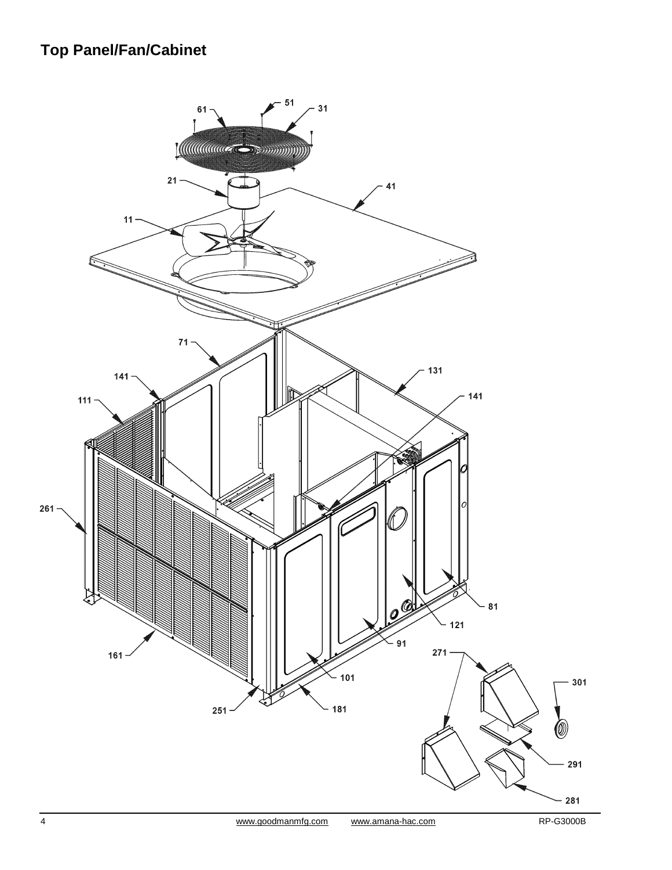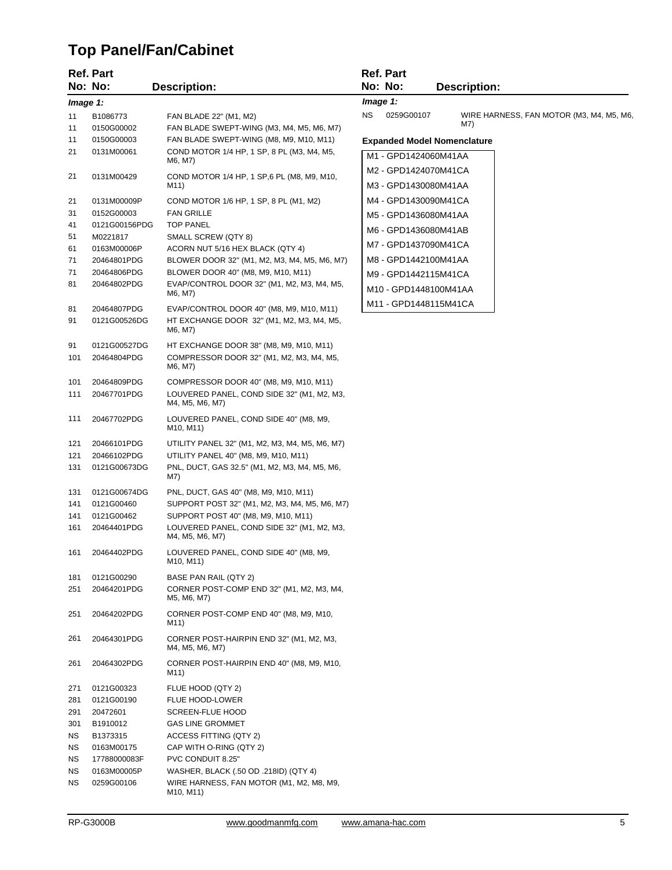# **Top Panel/Fan/Cabinet**

|          | <b>Ref. Part</b> |                                                                                 | <b>Ref. Part</b>  |                                          |
|----------|------------------|---------------------------------------------------------------------------------|-------------------|------------------------------------------|
|          | No: No:          | <b>Description:</b>                                                             | No: No:           | <b>Description:</b>                      |
| Image 1: |                  |                                                                                 | Image 1:          |                                          |
| 11       | B1086773         | FAN BLADE 22" (M1, M2)                                                          | NS.<br>0259G00107 | WIRE HARNESS, FAN MOTOR (M3, M4, M5, M6, |
| 11       | 0150G00002       | FAN BLADE SWEPT-WING (M3, M4, M5, M6, M7)                                       |                   | M7)                                      |
| 11       | 0150G00003       | FAN BLADE SWEPT-WING (M8, M9, M10, M11)                                         |                   | <b>Expanded Model Nomenclature</b>       |
| 21       | 0131M00061       | COND MOTOR 1/4 HP, 1 SP, 8 PL (M3, M4, M5,                                      |                   | M1 - GPD1424060M41AA                     |
|          |                  | M6, M7)                                                                         |                   | M2 - GPD1424070M41CA                     |
| 21       | 0131M00429       | COND MOTOR 1/4 HP, 1 SP, 6 PL (M8, M9, M10,<br>M11)                             |                   | M3 - GPD1430080M41AA                     |
| 21       | 0131M00009P      | COND MOTOR 1/6 HP, 1 SP, 8 PL (M1, M2)                                          |                   | M4 - GPD1430090M41CA                     |
| 31       | 0152G00003       | <b>FAN GRILLE</b>                                                               |                   | M5 - GPD1436080M41AA                     |
| 41       | 0121G00156PDG    | <b>TOP PANEL</b>                                                                |                   | M6 - GPD1436080M41AB                     |
| 51       | M0221817         | SMALL SCREW (QTY 8)                                                             |                   | M7 - GPD1437090M41CA                     |
| 61       | 0163M00006P      | ACORN NUT 5/16 HEX BLACK (QTY 4)                                                |                   |                                          |
| 71       | 20464801PDG      | BLOWER DOOR 32" (M1, M2, M3, M4, M5, M6, M7)                                    |                   | M8 - GPD1442100M41AA                     |
| 71       | 20464806PDG      | BLOWER DOOR 40" (M8, M9, M10, M11)                                              |                   | M9 - GPD1442115M41CA                     |
| 81       | 20464802PDG      | EVAP/CONTROL DOOR 32" (M1, M2, M3, M4, M5,<br>M6, M7)                           |                   | M10 - GPD1448100M41AA                    |
|          | 20464807PDG      | EVAP/CONTROL DOOR 40" (M8, M9, M10, M11)                                        |                   | M11 - GPD1448115M41CA                    |
| 81<br>91 | 0121G00526DG     | HT EXCHANGE DOOR 32" (M1, M2, M3, M4, M5,                                       |                   |                                          |
|          |                  | M6, M7)                                                                         |                   |                                          |
| 91       | 0121G00527DG     | HT EXCHANGE DOOR 38" (M8, M9, M10, M11)                                         |                   |                                          |
| 101      | 20464804PDG      | COMPRESSOR DOOR 32" (M1, M2, M3, M4, M5,                                        |                   |                                          |
|          |                  | M6, M7)                                                                         |                   |                                          |
| 101      | 20464809PDG      | COMPRESSOR DOOR 40" (M8, M9, M10, M11)                                          |                   |                                          |
| 111      | 20467701PDG      | LOUVERED PANEL, COND SIDE 32" (M1, M2, M3,<br>M4, M5, M6, M7)                   |                   |                                          |
| 111      | 20467702PDG      | LOUVERED PANEL, COND SIDE 40" (M8, M9,<br>M <sub>10</sub> , M <sub>11</sub> )   |                   |                                          |
| 121      | 20466101PDG      | UTILITY PANEL 32" (M1, M2, M3, M4, M5, M6, M7)                                  |                   |                                          |
| 121      | 20466102PDG      | UTILITY PANEL 40" (M8, M9, M10, M11)                                            |                   |                                          |
| 131      | 0121G00673DG     | PNL, DUCT, GAS 32.5" (M1, M2, M3, M4, M5, M6,<br>M7)                            |                   |                                          |
| 131      | 0121G00674DG     | PNL, DUCT, GAS 40" (M8, M9, M10, M11)                                           |                   |                                          |
| 141      | 0121G00460       | SUPPORT POST 32" (M1, M2, M3, M4, M5, M6, M7)                                   |                   |                                          |
| 141      | 0121G00462       | SUPPORT POST 40" (M8, M9, M10, M11)                                             |                   |                                          |
| 161      | 20464401PDG      | LOUVERED PANEL, COND SIDE 32" (M1, M2, M3,<br>M4, M5, M6, M7)                   |                   |                                          |
| 161      | 20464402PDG      | LOUVERED PANEL, COND SIDE 40" (M8, M9,<br>M <sub>10</sub> , M <sub>11</sub> )   |                   |                                          |
| 181      | 0121G00290       | BASE PAN RAIL (QTY 2)                                                           |                   |                                          |
| 251      | 20464201PDG      | CORNER POST-COMP END 32" (M1, M2, M3, M4,<br>M5, M6, M7)                        |                   |                                          |
| 251      | 20464202PDG      | CORNER POST-COMP END 40" (M8, M9, M10,<br>M11)                                  |                   |                                          |
| 261      | 20464301PDG      | CORNER POST-HAIRPIN END 32" (M1, M2, M3,<br>M4, M5, M6, M7)                     |                   |                                          |
| 261      | 20464302PDG      | CORNER POST-HAIRPIN END 40" (M8, M9, M10,<br>M11)                               |                   |                                          |
| 271      | 0121G00323       | FLUE HOOD (QTY 2)                                                               |                   |                                          |
| 281      | 0121G00190       | FLUE HOOD-LOWER                                                                 |                   |                                          |
| 291      | 20472601         | SCREEN-FLUE HOOD                                                                |                   |                                          |
| 301      | B1910012         | <b>GAS LINE GROMMET</b>                                                         |                   |                                          |
| ΝS       | B1373315         | ACCESS FITTING (QTY 2)                                                          |                   |                                          |
| ΝS       | 0163M00175       | CAP WITH O-RING (QTY 2)                                                         |                   |                                          |
| ΝS       | 17788000083F     | PVC CONDUIT 8.25"                                                               |                   |                                          |
| ΝS       | 0163M00005P      | WASHER, BLACK (.50 OD .218ID) (QTY 4)                                           |                   |                                          |
| NS.      | 0259G00106       | WIRE HARNESS, FAN MOTOR (M1, M2, M8, M9,<br>M <sub>10</sub> , M <sub>11</sub> ) |                   |                                          |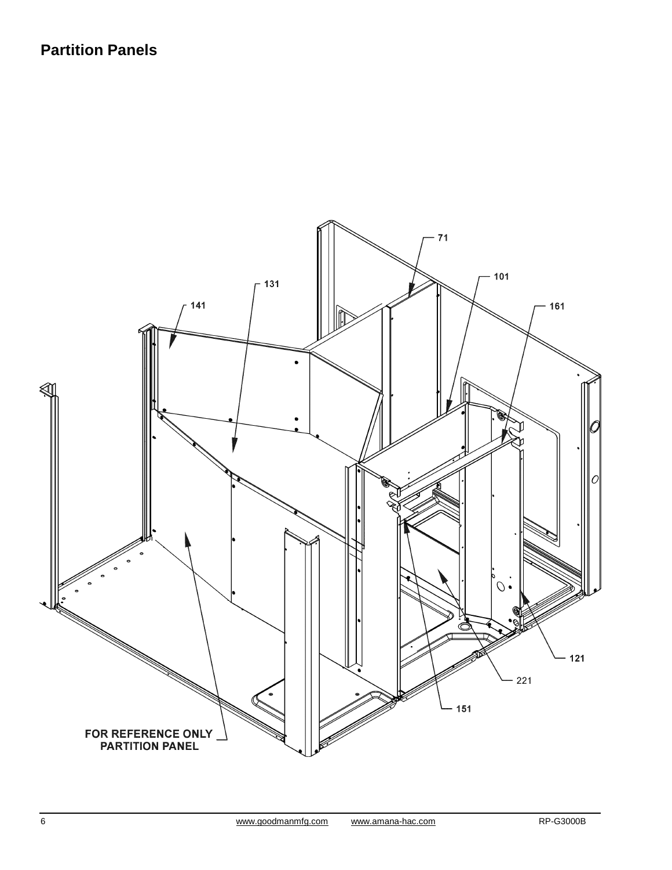### **Partition Panels**

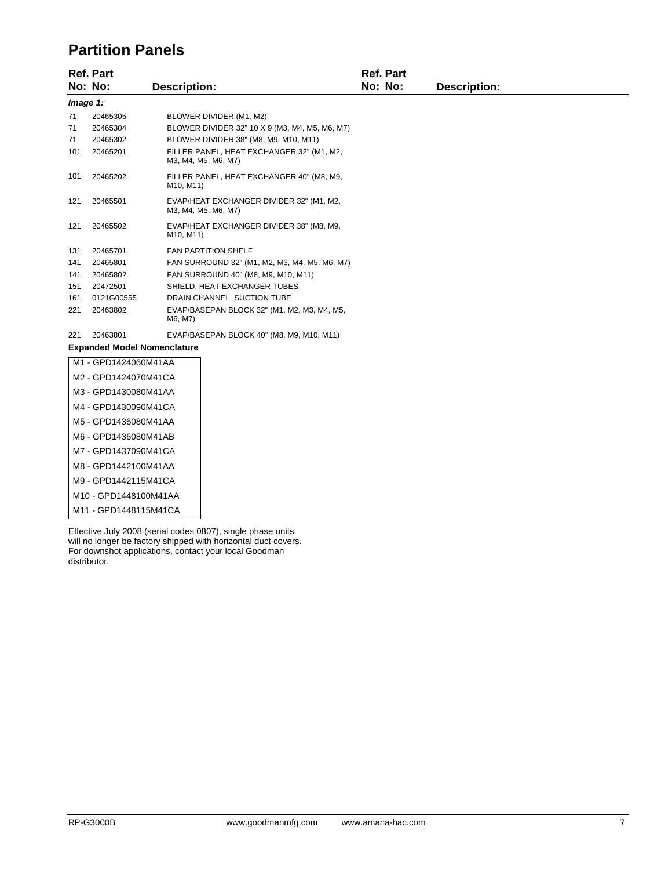#### **Partition Panels**

|     | <b>Ref. Part</b>                   |                                     |                                                                  | <b>Ref. Part</b> |                     |  |  |  |
|-----|------------------------------------|-------------------------------------|------------------------------------------------------------------|------------------|---------------------|--|--|--|
|     | No: No:                            | <b>Description:</b>                 |                                                                  | No: No:          | <b>Description:</b> |  |  |  |
|     | Image 1:                           |                                     |                                                                  |                  |                     |  |  |  |
| 71  | 20465305                           |                                     | BLOWER DIVIDER (M1, M2)                                          |                  |                     |  |  |  |
| 71  | 20465304                           |                                     | BLOWER DIVIDER 32" 10 X 9 (M3, M4, M5, M6, M7)                   |                  |                     |  |  |  |
| 71  | 20465302                           |                                     | BLOWER DIVIDER 38" (M8, M9, M10, M11)                            |                  |                     |  |  |  |
| 101 | 20465201                           |                                     | FILLER PANEL, HEAT EXCHANGER 32" (M1, M2,<br>M3, M4, M5, M6, M7) |                  |                     |  |  |  |
| 101 | 20465202                           | M <sub>10</sub> , M <sub>11</sub> ) | FILLER PANEL, HEAT EXCHANGER 40" (M8, M9,                        |                  |                     |  |  |  |
| 121 | 20465501                           |                                     | EVAP/HEAT EXCHANGER DIVIDER 32" (M1, M2,<br>M3, M4, M5, M6, M7)  |                  |                     |  |  |  |
| 121 | 20465502                           | M <sub>10</sub> , M <sub>11</sub> ) | EVAP/HEAT EXCHANGER DIVIDER 38" (M8, M9,                         |                  |                     |  |  |  |
| 131 | 20465701                           |                                     | <b>FAN PARTITION SHELF</b>                                       |                  |                     |  |  |  |
| 141 | 20465801                           |                                     | FAN SURROUND 32" (M1, M2, M3, M4, M5, M6, M7)                    |                  |                     |  |  |  |
| 141 | 20465802                           |                                     | FAN SURROUND 40" (M8, M9, M10, M11)                              |                  |                     |  |  |  |
| 151 | 20472501                           |                                     | SHIELD, HEAT EXCHANGER TUBES                                     |                  |                     |  |  |  |
| 161 | 0121G00555                         |                                     | DRAIN CHANNEL, SUCTION TUBE                                      |                  |                     |  |  |  |
| 221 | 20463802                           | M6, M7)                             | EVAP/BASEPAN BLOCK 32" (M1, M2, M3, M4, M5,                      |                  |                     |  |  |  |
| 221 | 20463801                           |                                     | EVAP/BASEPAN BLOCK 40" (M8, M9, M10, M11)                        |                  |                     |  |  |  |
|     | <b>Expanded Model Nomenclature</b> |                                     |                                                                  |                  |                     |  |  |  |
|     | M1 - GPD1424060M41AA               |                                     |                                                                  |                  |                     |  |  |  |
|     | M2 - GPD1424070M41CA               |                                     |                                                                  |                  |                     |  |  |  |
|     | M3 - GPD1430080M41AA               |                                     |                                                                  |                  |                     |  |  |  |
|     | M4 - GPD1430090M41CA               |                                     |                                                                  |                  |                     |  |  |  |
|     | M5 - GPD1436080M41AA               |                                     |                                                                  |                  |                     |  |  |  |
|     | M6 - GPD1436080M41AB               |                                     |                                                                  |                  |                     |  |  |  |
|     | M7 - GPD1437090M41CA               |                                     |                                                                  |                  |                     |  |  |  |
|     | M8 - GPD1442100M41AA               |                                     |                                                                  |                  |                     |  |  |  |
|     | M9 - GPD1442115M41CA               |                                     |                                                                  |                  |                     |  |  |  |
|     | M10 - GPD1448100M41AA              |                                     |                                                                  |                  |                     |  |  |  |
|     | M11 - GPD1448115M41CA              |                                     |                                                                  |                  |                     |  |  |  |
|     |                                    |                                     |                                                                  |                  |                     |  |  |  |

Effective July 2008 (serial codes 0807), single phase units will no longer be factory shipped with horizontal duct covers. For downshot applications, contact your local Goodman distributor.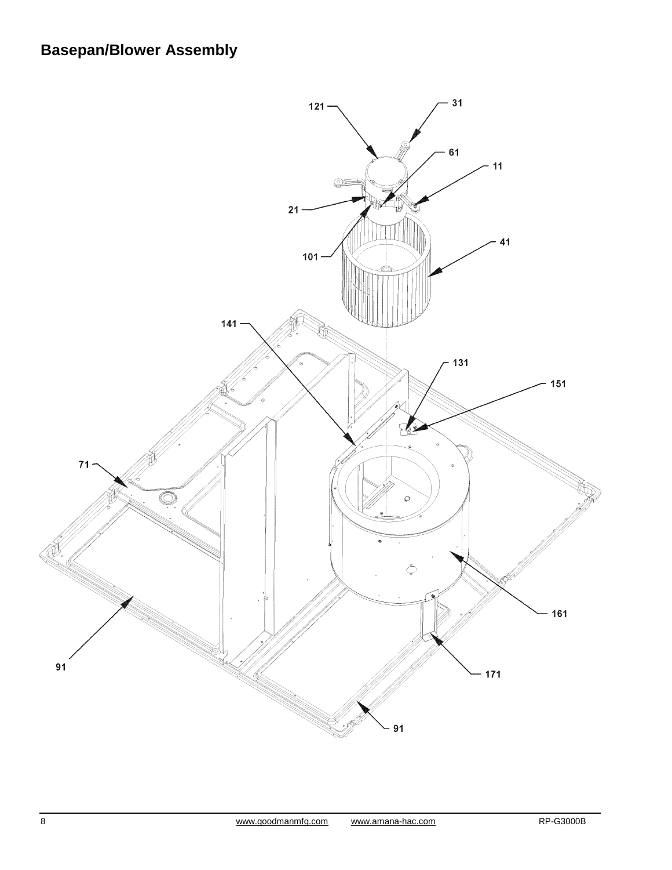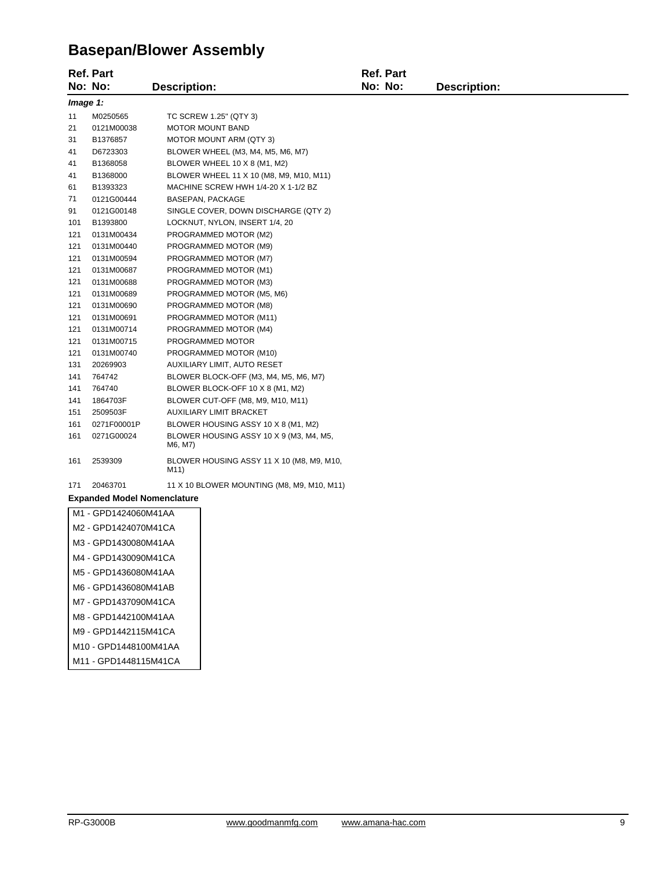### **Basepan/Blower Assembly**

|     | <b>Ref. Part</b>                   |                     |                                            | <b>Ref. Part</b> |                     |  |
|-----|------------------------------------|---------------------|--------------------------------------------|------------------|---------------------|--|
|     | No: No:                            | <b>Description:</b> |                                            | No: No:          | <b>Description:</b> |  |
|     | Image 1:                           |                     |                                            |                  |                     |  |
| 11  | M0250565                           |                     | TC SCREW 1.25" (QTY 3)                     |                  |                     |  |
| 21  | 0121M00038                         |                     | MOTOR MOUNT BAND                           |                  |                     |  |
| 31  | B1376857                           |                     | MOTOR MOUNT ARM (QTY 3)                    |                  |                     |  |
| 41  | D6723303                           |                     | BLOWER WHEEL (M3, M4, M5, M6, M7)          |                  |                     |  |
| 41  | B1368058                           |                     | BLOWER WHEEL 10 X 8 (M1, M2)               |                  |                     |  |
| 41  | B1368000                           |                     | BLOWER WHEEL 11 X 10 (M8, M9, M10, M11)    |                  |                     |  |
| 61  | B1393323                           |                     | MACHINE SCREW HWH 1/4-20 X 1-1/2 BZ        |                  |                     |  |
| 71  | 0121G00444                         |                     | BASEPAN, PACKAGE                           |                  |                     |  |
| 91  | 0121G00148                         |                     | SINGLE COVER, DOWN DISCHARGE (QTY 2)       |                  |                     |  |
| 101 | B1393800                           |                     | LOCKNUT, NYLON, INSERT 1/4, 20             |                  |                     |  |
| 121 | 0131M00434                         |                     | PROGRAMMED MOTOR (M2)                      |                  |                     |  |
| 121 | 0131M00440                         |                     | PROGRAMMED MOTOR (M9)                      |                  |                     |  |
| 121 | 0131M00594                         |                     | PROGRAMMED MOTOR (M7)                      |                  |                     |  |
| 121 | 0131M00687                         |                     | PROGRAMMED MOTOR (M1)                      |                  |                     |  |
| 121 | 0131M00688                         |                     | PROGRAMMED MOTOR (M3)                      |                  |                     |  |
| 121 | 0131M00689                         |                     | PROGRAMMED MOTOR (M5, M6)                  |                  |                     |  |
| 121 | 0131M00690                         |                     | PROGRAMMED MOTOR (M8)                      |                  |                     |  |
| 121 | 0131M00691                         |                     | PROGRAMMED MOTOR (M11)                     |                  |                     |  |
| 121 | 0131M00714                         |                     | PROGRAMMED MOTOR (M4)                      |                  |                     |  |
| 121 | 0131M00715                         |                     | PROGRAMMED MOTOR                           |                  |                     |  |
| 121 | 0131M00740                         |                     | PROGRAMMED MOTOR (M10)                     |                  |                     |  |
| 131 | 20269903                           |                     | AUXILIARY LIMIT, AUTO RESET                |                  |                     |  |
| 141 | 764742                             |                     | BLOWER BLOCK-OFF (M3, M4, M5, M6, M7)      |                  |                     |  |
| 141 | 764740                             |                     | BLOWER BLOCK-OFF 10 X 8 (M1, M2)           |                  |                     |  |
| 141 | 1864703F                           |                     | BLOWER CUT-OFF (M8, M9, M10, M11)          |                  |                     |  |
| 151 | 2509503F                           |                     | AUXILIARY LIMIT BRACKET                    |                  |                     |  |
| 161 | 0271F00001P                        |                     | BLOWER HOUSING ASSY 10 X 8 (M1, M2)        |                  |                     |  |
| 161 | 0271G00024                         | M6, M7)             | BLOWER HOUSING ASSY 10 X 9 (M3, M4, M5,    |                  |                     |  |
| 161 | 2539309                            | M11)                | BLOWER HOUSING ASSY 11 X 10 (M8, M9, M10,  |                  |                     |  |
| 171 | 20463701                           |                     | 11 X 10 BLOWER MOUNTING (M8, M9, M10, M11) |                  |                     |  |
|     | <b>Expanded Model Nomenclature</b> |                     |                                            |                  |                     |  |
|     | M1 - GPD1424060M41AA               |                     |                                            |                  |                     |  |
|     | M2 - GPD1424070M41CA               |                     |                                            |                  |                     |  |
|     | M3 - GPD1430080M41AA               |                     |                                            |                  |                     |  |
|     | M4 - GPD1430090M41CA               |                     |                                            |                  |                     |  |
|     | M5 - GPD1436080M41AA               |                     |                                            |                  |                     |  |
|     | M6 - GPD1436080M41AB               |                     |                                            |                  |                     |  |
|     | M7 - GPD1437090M41CA               |                     |                                            |                  |                     |  |
|     | M8 - GPD1442100M41AA               |                     |                                            |                  |                     |  |

M9 - GPD1442115M41CA M10 - GPD1448100M41AA

M11 - GPD1448115M41CA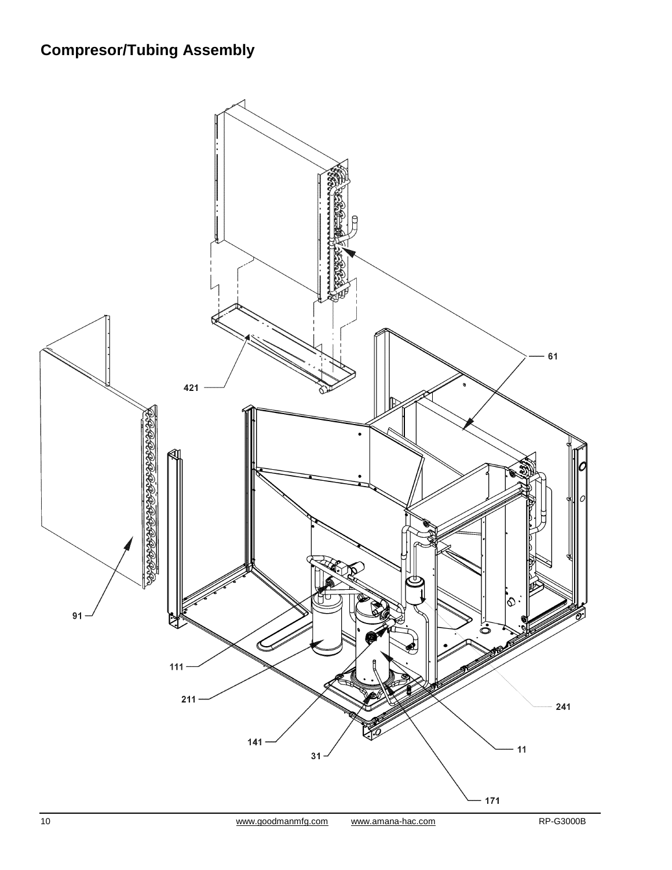# **Compresor/Tubing Assembly**

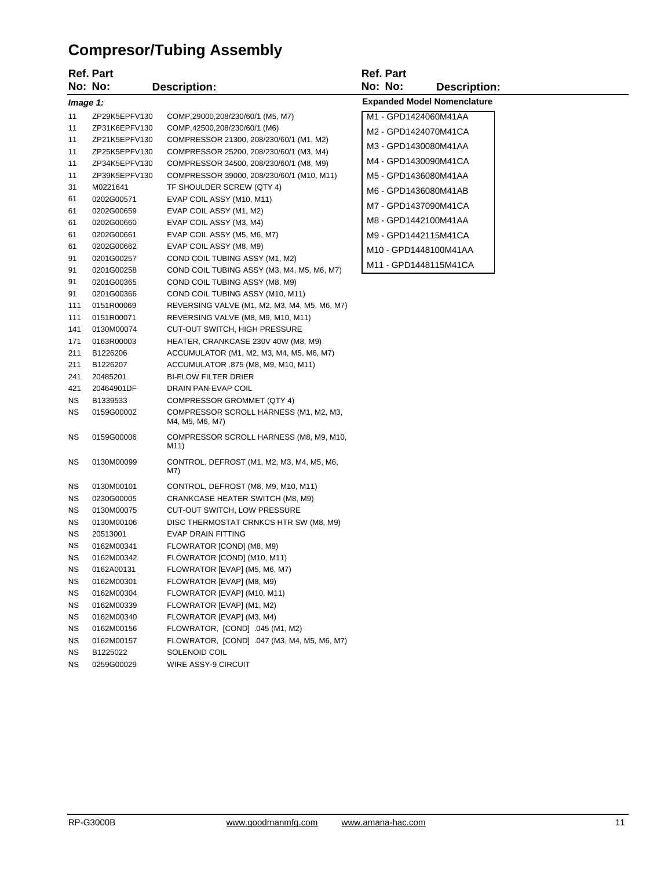# **Compresor/Tubing Assembly**

|           | Ref. Part     |                                                           | <b>Ref. Part</b> |                                    |
|-----------|---------------|-----------------------------------------------------------|------------------|------------------------------------|
|           | No: No:       | <b>Description:</b>                                       | No: No:          | <b>Description:</b>                |
|           | Image 1:      |                                                           |                  | <b>Expanded Model Nomenclature</b> |
| 11        | ZP29K5EPFV130 | COMP, 29000, 208/230/60/1 (M5, M7)                        |                  | M1 - GPD1424060M41AA               |
| 11        | ZP31K6EPFV130 | COMP, 42500, 208/230/60/1 (M6)                            |                  | M2 - GPD1424070M41CA               |
| 11        | ZP21K5EPFV130 | COMPRESSOR 21300, 208/230/60/1 (M1, M2)                   |                  |                                    |
| 11        | ZP25K5EPFV130 | COMPRESSOR 25200, 208/230/60/1 (M3, M4)                   |                  | M3 - GPD1430080M41AA               |
| 11        | ZP34K5EPFV130 | COMPRESSOR 34500, 208/230/60/1 (M8, M9)                   |                  | M4 - GPD1430090M41CA               |
| 11        | ZP39K5EPFV130 | COMPRESSOR 39000, 208/230/60/1 (M10, M11)                 |                  | M5 - GPD1436080M41AA               |
| 31        | M0221641      | TF SHOULDER SCREW (QTY 4)                                 |                  | M6 - GPD1436080M41AB               |
| 61        | 0202G00571    | EVAP COIL ASSY (M10, M11)                                 |                  | M7 - GPD1437090M41CA               |
| 61        | 0202G00659    | EVAP COIL ASSY (M1, M2)                                   |                  |                                    |
| 61        | 0202G00660    | EVAP COIL ASSY (M3, M4)                                   |                  | M8 - GPD1442100M41AA               |
| 61        | 0202G00661    | EVAP COIL ASSY (M5, M6, M7)                               |                  | M9 - GPD1442115M41CA               |
| 61        | 0202G00662    | EVAP COIL ASSY (M8, M9)                                   |                  | M10 - GPD1448100M41AA              |
| 91        | 0201G00257    | COND COIL TUBING ASSY (M1, M2)                            |                  | M11 - GPD1448115M41CA              |
| 91        | 0201G00258    | COND COIL TUBING ASSY (M3, M4, M5, M6, M7)                |                  |                                    |
| 91        | 0201G00365    | COND COIL TUBING ASSY (M8, M9)                            |                  |                                    |
| 91        | 0201G00366    | COND COIL TUBING ASSY (M10, M11)                          |                  |                                    |
| 111       | 0151R00069    | REVERSING VALVE (M1, M2, M3, M4, M5, M6, M7)              |                  |                                    |
| 111       | 0151R00071    | REVERSING VALVE (M8, M9, M10, M11)                        |                  |                                    |
| 141       | 0130M00074    | CUT-OUT SWITCH, HIGH PRESSURE                             |                  |                                    |
| 171       | 0163R00003    | HEATER, CRANKCASE 230V 40W (M8, M9)                       |                  |                                    |
| 211       | B1226206      | ACCUMULATOR (M1, M2, M3, M4, M5, M6, M7)                  |                  |                                    |
| 211       | B1226207      | ACCUMULATOR .875 (M8, M9, M10, M11)                       |                  |                                    |
| 241       | 20485201      | <b>BI-FLOW FILTER DRIER</b>                               |                  |                                    |
| 421       | 20464901DF    | DRAIN PAN-EVAP COIL                                       |                  |                                    |
| ΝS        | B1339533      | COMPRESSOR GROMMET (QTY 4)                                |                  |                                    |
| ΝS        | 0159G00002    | COMPRESSOR SCROLL HARNESS (M1, M2, M3,<br>M4, M5, M6, M7) |                  |                                    |
| ΝS        | 0159G00006    | COMPRESSOR SCROLL HARNESS (M8, M9, M10,<br>M11)           |                  |                                    |
| ΝS        | 0130M00099    | CONTROL, DEFROST (M1, M2, M3, M4, M5, M6,<br>M7)          |                  |                                    |
| ΝS        | 0130M00101    | CONTROL, DEFROST (M8, M9, M10, M11)                       |                  |                                    |
| ΝS        | 0230G00005    | CRANKCASE HEATER SWITCH (M8, M9)                          |                  |                                    |
| ΝS        | 0130M00075    | <b>CUT-OUT SWITCH, LOW PRESSURE</b>                       |                  |                                    |
| ΝS        | 0130M00106    | DISC THERMOSTAT CRNKCS HTR SW (M8, M9)                    |                  |                                    |
| ΝS        | 20513001      | <b>EVAP DRAIN FITTING</b>                                 |                  |                                    |
| ΝS        | 0162M00341    | FLOWRATOR [COND] (M8, M9)                                 |                  |                                    |
| NS.       | 0162M00342    | FLOWRATOR [COND] (M10, M11)                               |                  |                                    |
| NS        | 0162A00131    | FLOWRATOR [EVAP] (M5, M6, M7)                             |                  |                                    |
| ΝS        | 0162M00301    | FLOWRATOR [EVAP] (M8, M9)                                 |                  |                                    |
| ΝS        | 0162M00304    | FLOWRATOR [EVAP] (M10, M11)                               |                  |                                    |
| ΝS        | 0162M00339    | FLOWRATOR [EVAP] (M1, M2)                                 |                  |                                    |
| ΝS        | 0162M00340    | FLOWRATOR [EVAP] (M3, M4)                                 |                  |                                    |
| <b>NS</b> | 0162M00156    | FLOWRATOR, [COND] .045 (M1, M2)                           |                  |                                    |
| <b>NS</b> | 0162M00157    | FLOWRATOR, [COND] .047 (M3, M4, M5, M6, M7)               |                  |                                    |
| ΝS        | B1225022      | SOLENOID COIL                                             |                  |                                    |
| ΝS        | 0259G00029    | WIRE ASSY-9 CIRCUIT                                       |                  |                                    |
|           |               |                                                           |                  |                                    |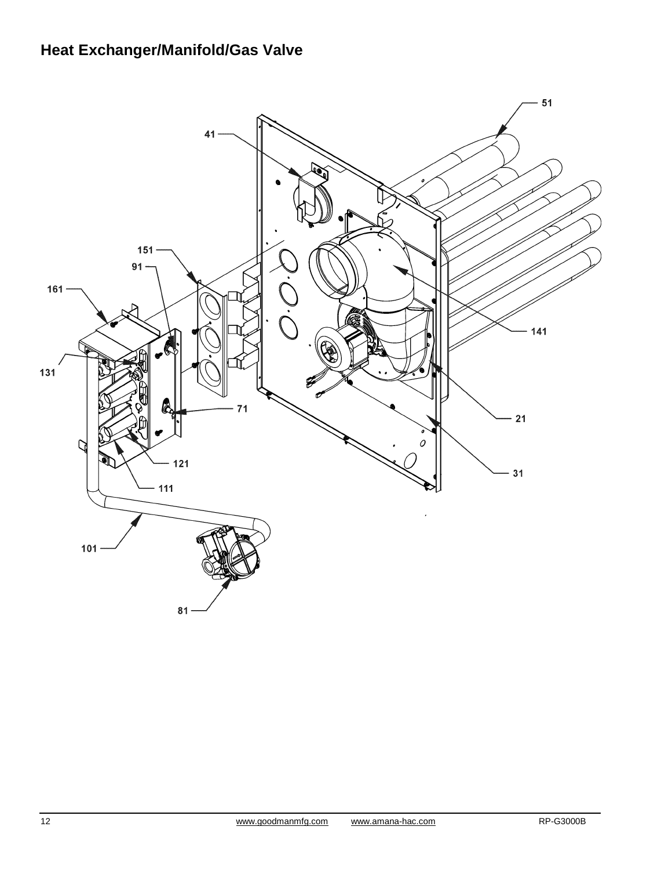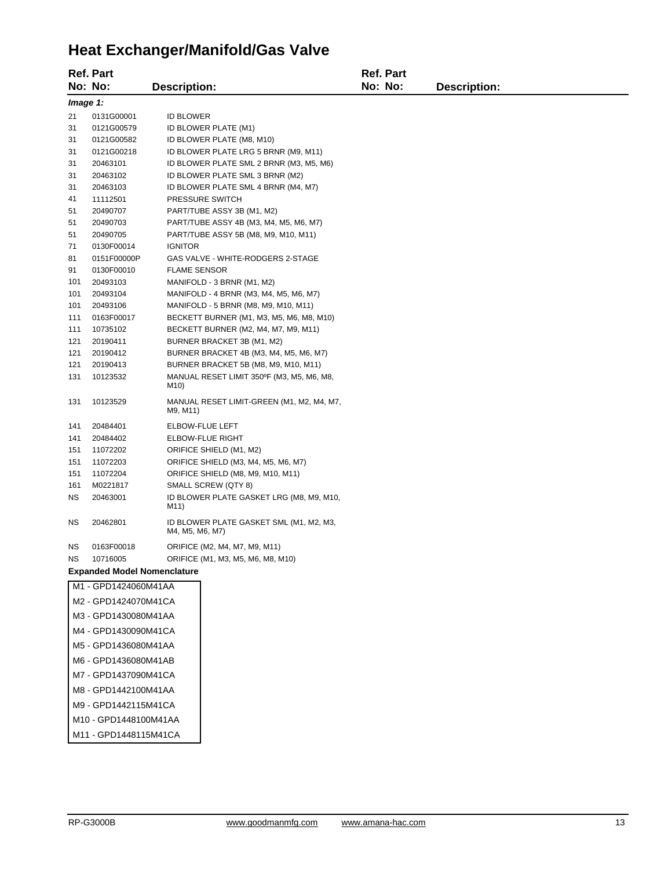### **Heat Exchanger/Manifold/Gas Valve**

|          | <b>Ref. Part</b>                   |                                                            |  | <b>Ref. Part</b> |                     |  |
|----------|------------------------------------|------------------------------------------------------------|--|------------------|---------------------|--|
|          | No: No:                            | <b>Description:</b>                                        |  | No: No:          | <b>Description:</b> |  |
| Image 1: |                                    |                                                            |  |                  |                     |  |
| 21       | 0131G00001                         | <b>ID BLOWER</b>                                           |  |                  |                     |  |
| 31       | 0121G00579                         | ID BLOWER PLATE (M1)                                       |  |                  |                     |  |
| 31       | 0121G00582                         | ID BLOWER PLATE (M8, M10)                                  |  |                  |                     |  |
| 31       | 0121G00218                         | ID BLOWER PLATE LRG 5 BRNR (M9, M11)                       |  |                  |                     |  |
| 31       | 20463101                           | ID BLOWER PLATE SML 2 BRNR (M3, M5, M6)                    |  |                  |                     |  |
| 31       | 20463102                           | ID BLOWER PLATE SML 3 BRNR (M2)                            |  |                  |                     |  |
| 31       | 20463103                           | ID BLOWER PLATE SML 4 BRNR (M4, M7)                        |  |                  |                     |  |
| 41       | 11112501                           | PRESSURE SWITCH                                            |  |                  |                     |  |
| 51       | 20490707                           | PART/TUBE ASSY 3B (M1, M2)                                 |  |                  |                     |  |
| 51       | 20490703                           | PART/TUBE ASSY 4B (M3, M4, M5, M6, M7)                     |  |                  |                     |  |
| 51       | 20490705                           | PART/TUBE ASSY 5B (M8, M9, M10, M11)                       |  |                  |                     |  |
| 71       | 0130F00014                         | <b>IGNITOR</b>                                             |  |                  |                     |  |
| 81       | 0151F00000P                        | GAS VALVE - WHITE-RODGERS 2-STAGE                          |  |                  |                     |  |
| 91       | 0130F00010                         | <b>FLAME SENSOR</b>                                        |  |                  |                     |  |
| 101      | 20493103                           | MANIFOLD - 3 BRNR (M1, M2)                                 |  |                  |                     |  |
| 101      | 20493104                           | MANIFOLD - 4 BRNR (M3, M4, M5, M6, M7)                     |  |                  |                     |  |
| 101      | 20493106                           | MANIFOLD - 5 BRNR (M8, M9, M10, M11)                       |  |                  |                     |  |
| 111      | 0163F00017                         | BECKETT BURNER (M1, M3, M5, M6, M8, M10)                   |  |                  |                     |  |
| 111      | 10735102                           | BECKETT BURNER (M2, M4, M7, M9, M11)                       |  |                  |                     |  |
| 121      | 20190411                           | BURNER BRACKET 3B (M1, M2)                                 |  |                  |                     |  |
| 121      | 20190412                           | BURNER BRACKET 4B (M3, M4, M5, M6, M7)                     |  |                  |                     |  |
| 121      | 20190413                           | BURNER BRACKET 5B (M8, M9, M10, M11)                       |  |                  |                     |  |
| 131      | 10123532                           | MANUAL RESET LIMIT 350°F (M3, M5, M6, M8,<br>M10)          |  |                  |                     |  |
| 131      | 10123529                           | MANUAL RESET LIMIT-GREEN (M1, M2, M4, M7,<br>M9, M11)      |  |                  |                     |  |
| 141      | 20484401                           | ELBOW-FLUE LEFT                                            |  |                  |                     |  |
| 141      | 20484402                           | <b>ELBOW-FLUE RIGHT</b>                                    |  |                  |                     |  |
| 151      | 11072202                           | ORIFICE SHIELD (M1, M2)                                    |  |                  |                     |  |
| 151      | 11072203                           | ORIFICE SHIELD (M3, M4, M5, M6, M7)                        |  |                  |                     |  |
| 151      | 11072204                           | ORIFICE SHIELD (M8, M9, M10, M11)                          |  |                  |                     |  |
| 161      | M0221817                           | SMALL SCREW (QTY 8)                                        |  |                  |                     |  |
| ΝS       | 20463001                           | ID BLOWER PLATE GASKET LRG (M8, M9, M10,<br>M11)           |  |                  |                     |  |
| ΝS       | 20462801                           | ID BLOWER PLATE GASKET SML (M1, M2, M3,<br>M4, M5, M6, M7) |  |                  |                     |  |
| ΝS       | 0163F00018                         | ORIFICE (M2, M4, M7, M9, M11)                              |  |                  |                     |  |
| ΝS       | 10716005                           | ORIFICE (M1, M3, M5, M6, M8, M10)                          |  |                  |                     |  |
|          | <b>Expanded Model Nomenclature</b> |                                                            |  |                  |                     |  |
|          | M1 - GPD1424060M41AA               |                                                            |  |                  |                     |  |
|          | M2 - GPD1424070M41CA               |                                                            |  |                  |                     |  |
|          | M3 - GPD1430080M41AA               |                                                            |  |                  |                     |  |
|          | M4 - GPD1430090M41CA               |                                                            |  |                  |                     |  |
|          | M5 - GPD1436080M41AA               |                                                            |  |                  |                     |  |
|          |                                    |                                                            |  |                  |                     |  |
|          | M6 - GPD1436080M41AB               |                                                            |  |                  |                     |  |
|          | M7 - GPD1437090M41CA               |                                                            |  |                  |                     |  |
|          | M8 - GPD1442100M41AA               |                                                            |  |                  |                     |  |

M9 - GPD1442115M41CA

M10 - GPD1448100M41AA

M11 - GPD1448115M41CA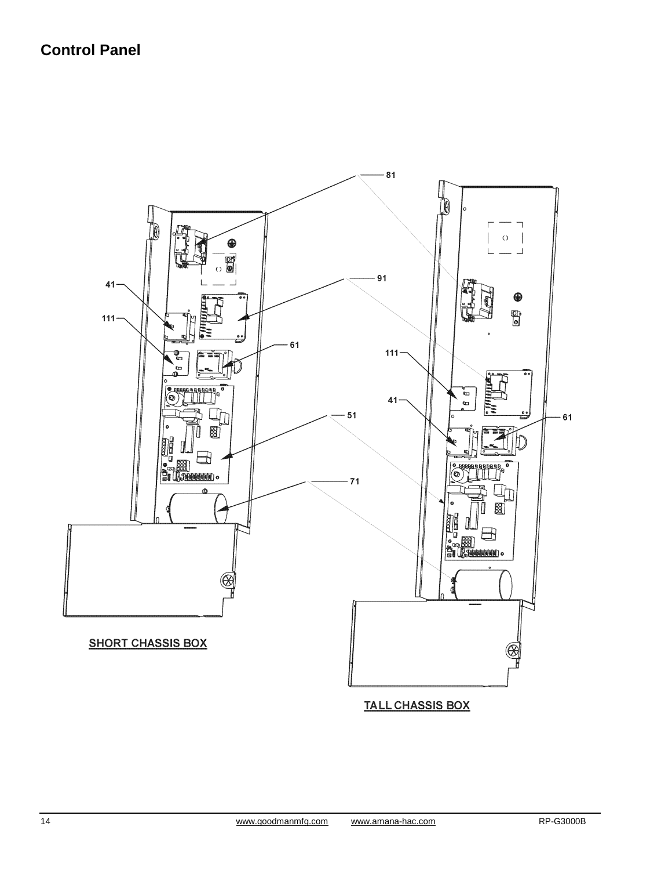### **Control Panel**